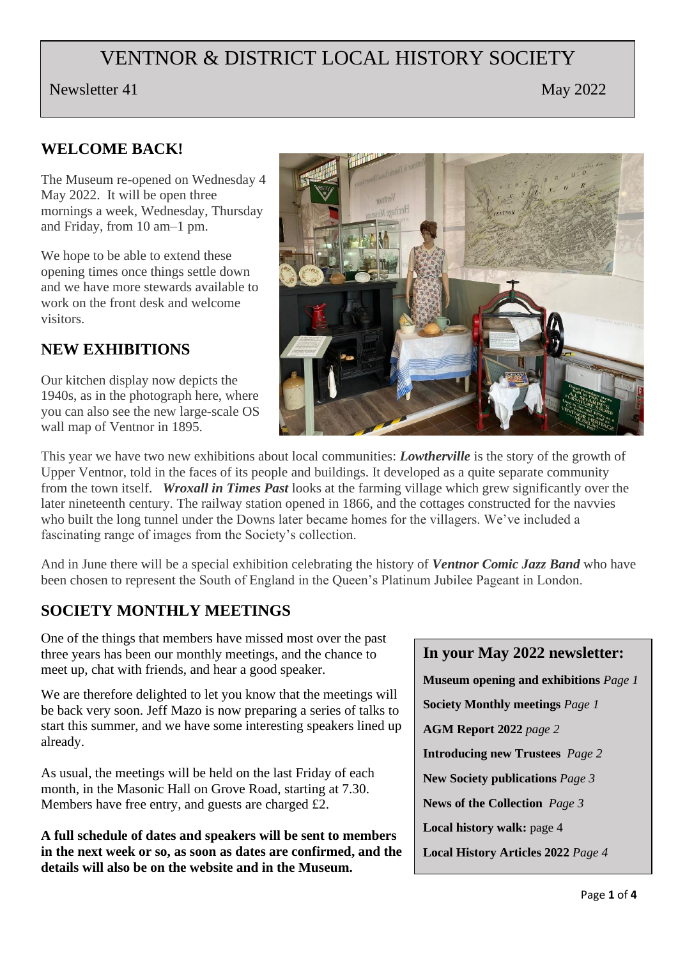# VENTNOR & DISTRICT LOCAL HISTORY SOCIETY

Newsletter 41 May 2022

#### **WELCOME BACK!**

The Museum re-opened on Wednesday 4 May 2022. It will be open three mornings a week, Wednesday, Thursday and Friday, from 10 am–1 pm.

We hope to be able to extend these opening times once things settle down and we have more stewards available to work on the front desk and welcome visitors.

## **NEW EXHIBITIONS**

Our kitchen display now depicts the 1940s, as in the photograph here, where you can also see the new large-scale OS wall map of Ventnor in 1895.



This year we have two new exhibitions about local communities: *Lowtherville* is the story of the growth of Upper Ventnor, told in the faces of its people and buildings. It developed as a quite separate community from the town itself. *Wroxall in Times Past* looks at the farming village which grew significantly over the later nineteenth century. The railway station opened in 1866, and the cottages constructed for the navvies who built the long tunnel under the Downs later became homes for the villagers. We've included a fascinating range of images from the Society's collection.

And in June there will be a special exhibition celebrating the history of *Ventnor Comic Jazz Band* who have been chosen to represent the South of England in the Queen's Platinum Jubilee Pageant in London.

#### **SOCIETY MONTHLY MEETINGS**

One of the things that members have missed most over the past three years has been our monthly meetings, and the chance to meet up, chat with friends, and hear a good speaker.

We are therefore delighted to let you know that the meetings will be back very soon. Jeff Mazo is now preparing a series of talks to start this summer, and we have some interesting speakers lined up already.

As usual, the meetings will be held on the last Friday of each month, in the Masonic Hall on Grove Road, starting at 7.30. Members have free entry, and guests are charged £2.

**A full schedule of dates and speakers will be sent to members in the next week or so, as soon as dates are confirmed, and the details will also be on the website and in the Museum.**

#### **In your May 2022 newsletter:**

**Museum opening and exhibitions** *Page 1*

**Society Monthly meetings** *Page 1*

**AGM Report 2022** *page 2*

**Introducing new Trustees** *Page 2*

**New Society publications** *Page 3*

**News of the Collection** *Page 3*

**Local history walk:** page 4

**Local History Articles 2022** *Page 4*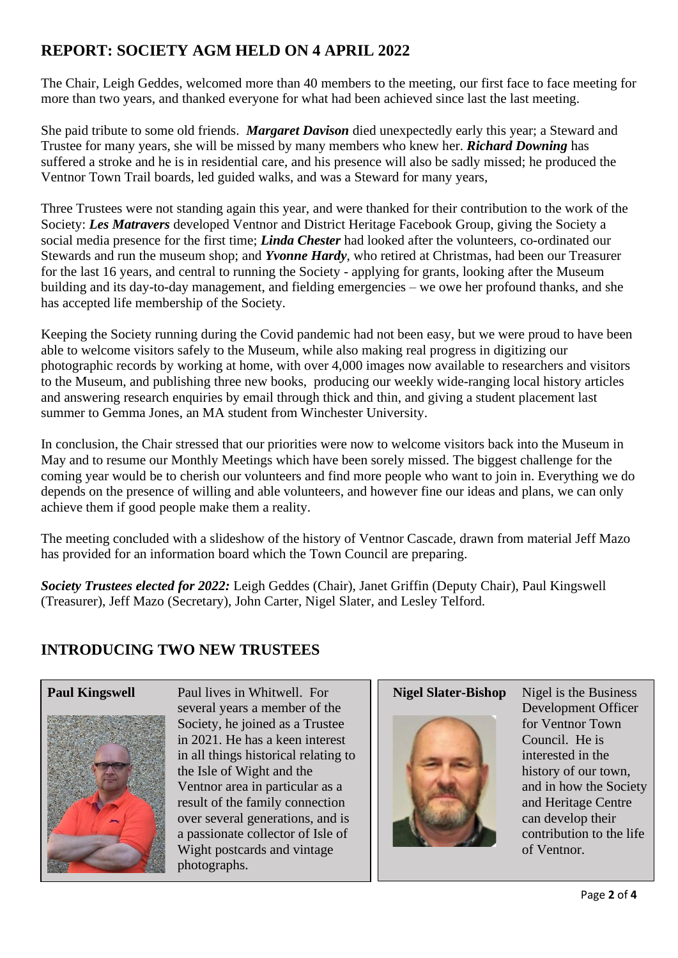# **REPORT: SOCIETY AGM HELD ON 4 APRIL 2022**

The Chair, Leigh Geddes, welcomed more than 40 members to the meeting, our first face to face meeting for more than two years, and thanked everyone for what had been achieved since last the last meeting.

She paid tribute to some old friends. *Margaret Davison* died unexpectedly early this year; a Steward and Trustee for many years, she will be missed by many members who knew her. *Richard Downing* has suffered a stroke and he is in residential care, and his presence will also be sadly missed; he produced the Ventnor Town Trail boards, led guided walks, and was a Steward for many years,

Three Trustees were not standing again this year, and were thanked for their contribution to the work of the Society: *Les Matravers* developed Ventnor and District Heritage Facebook Group, giving the Society a social media presence for the first time; *Linda Chester* had looked after the volunteers, co-ordinated our Stewards and run the museum shop; and *Yvonne Hardy*, who retired at Christmas, had been our Treasurer for the last 16 years, and central to running the Society - applying for grants, looking after the Museum building and its day-to-day management, and fielding emergencies – we owe her profound thanks, and she has accepted life membership of the Society.

Keeping the Society running during the Covid pandemic had not been easy, but we were proud to have been able to welcome visitors safely to the Museum, while also making real progress in digitizing our photographic records by working at home, with over 4,000 images now available to researchers and visitors to the Museum, and publishing three new books, producing our weekly wide-ranging local history articles and answering research enquiries by email through thick and thin, and giving a student placement last summer to Gemma Jones, an MA student from Winchester University.

In conclusion, the Chair stressed that our priorities were now to welcome visitors back into the Museum in May and to resume our Monthly Meetings which have been sorely missed. The biggest challenge for the coming year would be to cherish our volunteers and find more people who want to join in. Everything we do depends on the presence of willing and able volunteers, and however fine our ideas and plans, we can only achieve them if good people make them a reality.

The meeting concluded with a slideshow of the history of Ventnor Cascade, drawn from material Jeff Mazo has provided for an information board which the Town Council are preparing.

*Society Trustees elected for 2022:* Leigh Geddes (Chair), Janet Griffin (Deputy Chair), Paul Kingswell (Treasurer), Jeff Mazo (Secretary), John Carter, Nigel Slater, and Lesley Telford.

## **INTRODUCING TWO NEW TRUSTEES**





**Paul Kingswell** Paul lives in Whitwell. For several years a member of the Society, he joined as a Trustee in 2021. He has a keen interest in all things historical relating to the Isle of Wight and the Ventnor area in particular as a result of the family connection over several generations, and is a passionate collector of Isle of Wight postcards and vintage photographs.



**Nigel Slater-Bishop** Nigel is the Business Development Officer for Ventnor Town Council. He is interested in the history of our town, and in how the Society and Heritage Centre can develop their contribution to the life of Ventnor.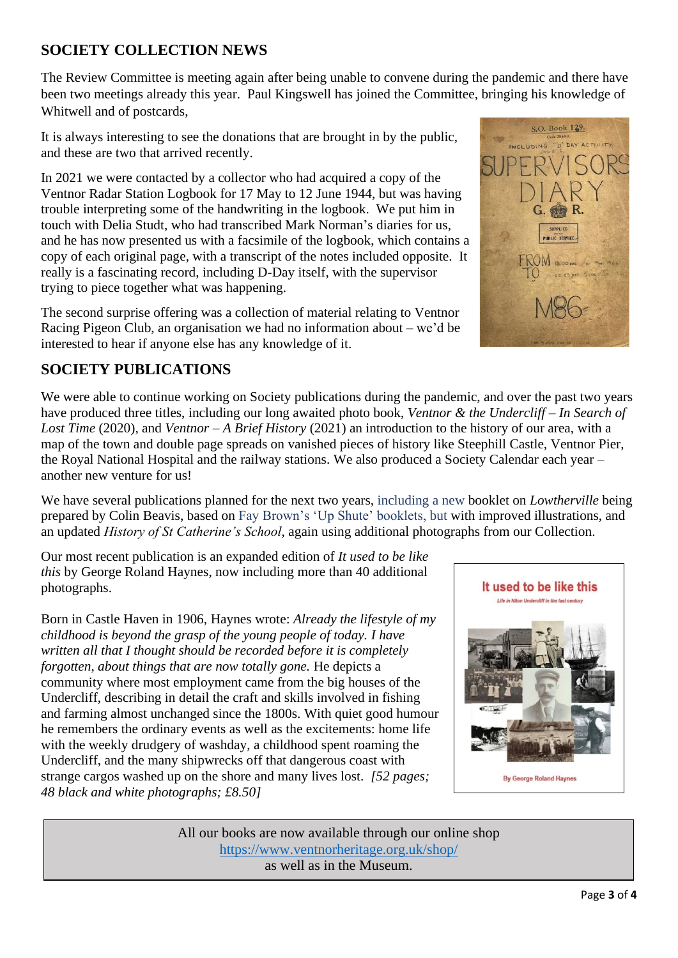#### **SOCIETY COLLECTION NEWS**

The Review Committee is meeting again after being unable to convene during the pandemic and there have been two meetings already this year. Paul Kingswell has joined the Committee, bringing his knowledge of Whitwell and of postcards,

It is always interesting to see the donations that are brought in by the public, and these are two that arrived recently.

In 2021 we were contacted by a collector who had acquired a copy of the Ventnor Radar Station Logbook for 17 May to 12 June 1944, but was having trouble interpreting some of the handwriting in the logbook. We put him in touch with Delia Studt, who had transcribed Mark Norman's diaries for us, and he has now presented us with a facsimile of the logbook, which contains a copy of each original page, with a transcript of the notes included opposite. It really is a fascinating record, including D-Day itself, with the supervisor trying to piece together what was happening.

The second surprise offering was a collection of material relating to Ventnor Racing Pigeon Club, an organisation we had no information about – we'd be interested to hear if anyone else has any knowledge of it.

#### **SOCIETY PUBLICATIONS**

We were able to continue working on Society publications during the pandemic, and over the past two years have produced three titles, including our long awaited photo book, *Ventnor & the Undercliff – In Search of Lost Time* (2020), and *Ventnor – A Brief History* (2021) an introduction to the history of our area, with a map of the town and double page spreads on vanished pieces of history like Steephill Castle, Ventnor Pier, the Royal National Hospital and the railway stations. We also produced a Society Calendar each year – another new venture for us!

We have several publications planned for the next two years, including a new booklet on *Lowtherville* being prepared by Colin Beavis, based on Fay Brown's 'Up Shute' booklets, but with improved illustrations, and an updated *History of St Catherine's School*, again using additional photographs from our Collection.

Our most recent publication is an expanded edition of *It used to be like this* by George Roland Haynes, now including more than 40 additional photographs.

Born in Castle Haven in 1906, Haynes wrote: *Already the lifestyle of my childhood is beyond the grasp of the young people of today. I have written all that I thought should be recorded before it is completely forgotten, about things that are now totally gone.* He depicts a community where most employment came from the big houses of the Undercliff, describing in detail the craft and skills involved in fishing and farming almost unchanged since the 1800s. With quiet good humour he remembers the ordinary events as well as the excitements: home life with the weekly drudgery of washday, a childhood spent roaming the Undercliff, and the many shipwrecks off that dangerous coast with strange cargos washed up on the shore and many lives lost. *[52 pages; 48 black and white photographs; £8.50]*